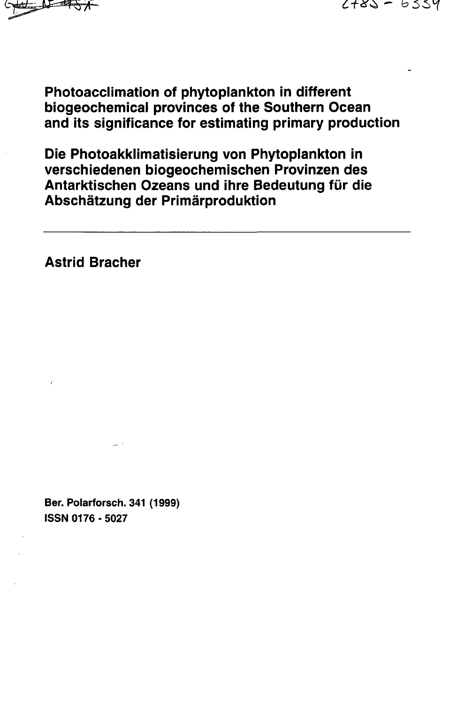

**Photoacclimation of phytoplankton in different biogeochemicai provinces of the Southern Ocean and its significance for estimating primary production**

**Die Photoakklimatisierung von Phytoplankton in verschiedenen biogeochemischen Provinzen des Antarktischen Ozeans und ihre Bedeutung fur die Abschatzung der Primarproduktion**

**Astrid Bracher**

**Ber. Polarforsch. 341 (1999) ISSN 0176-5027**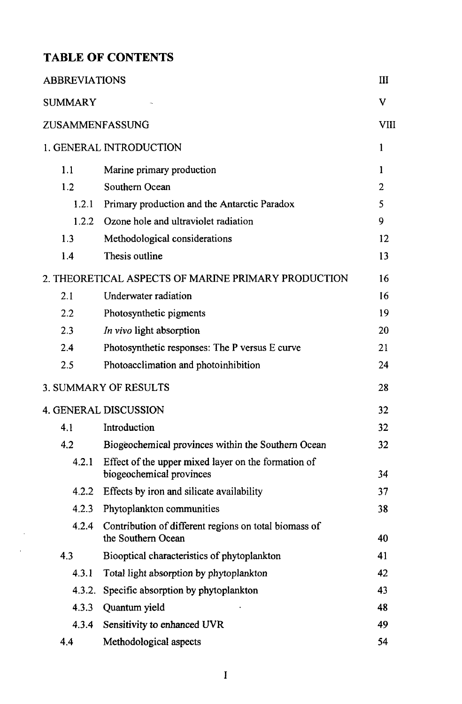## TABLE OF CONTENTS

 $\hat{\boldsymbol{\gamma}}$ i,

| <b>ABBREVIATIONS</b>                                |                                                                                 | Ш              |
|-----------------------------------------------------|---------------------------------------------------------------------------------|----------------|
| <b>SUMMARY</b>                                      |                                                                                 | v              |
| ZUSAMMENFASSUNG                                     |                                                                                 | VIII           |
|                                                     | 1. GENERAL INTRODUCTION                                                         | 1              |
| 1.1                                                 | Marine primary production                                                       | 1              |
| 1.2.                                                | Southern Ocean                                                                  | $\overline{2}$ |
| 1.2.1                                               | Primary production and the Antarctic Paradox                                    | 5              |
| 1.2.2                                               | Ozone hole and ultraviolet radiation                                            | 9              |
| 1.3                                                 | Methodological considerations                                                   | 12             |
| 1.4                                                 | Thesis outline                                                                  | 13             |
| 2. THEORETICAL ASPECTS OF MARINE PRIMARY PRODUCTION |                                                                                 | 16             |
| 2.1                                                 | Underwater radiation                                                            | 16             |
| 2.2                                                 | Photosynthetic pigments                                                         | 19             |
| 2.3                                                 | In vivo light absorption                                                        | 20             |
| 2.4                                                 | Photosynthetic responses: The P versus E curve                                  | 21             |
| 2.5                                                 | Photoacclimation and photoinhibition                                            | 24             |
| <b>3. SUMMARY OF RESULTS</b>                        |                                                                                 | 28             |
| <b>4. GENERAL DISCUSSION</b>                        |                                                                                 | 32             |
| 4.1                                                 | Introduction                                                                    | 32             |
| 4.2                                                 | Biogeochemical provinces within the Southern Ocean                              | 32             |
| 4.2.1                                               | Effect of the upper mixed layer on the formation of<br>biogeochemical provinces | 34             |
| 4.2.2                                               | Effects by iron and silicate availability                                       | 37             |
| 4.2.3                                               | Phytoplankton communities                                                       | 38             |
| 4.2.4                                               | Contribution of different regions on total biomass of<br>the Southern Ocean     | 40             |
| 4.3                                                 | Biooptical characteristics of phytoplankton                                     | 41             |
| 4.3.1                                               | Total light absorption by phytoplankton                                         | 42             |
| 4.3.2.                                              | Specific absorption by phytoplankton                                            | 43             |
| 4.3.3                                               | Quantum yield                                                                   | 48             |
| 4.3.4                                               | Sensitivity to enhanced UVR                                                     | 49             |
| 4.4                                                 | Methodological aspects                                                          | 54             |